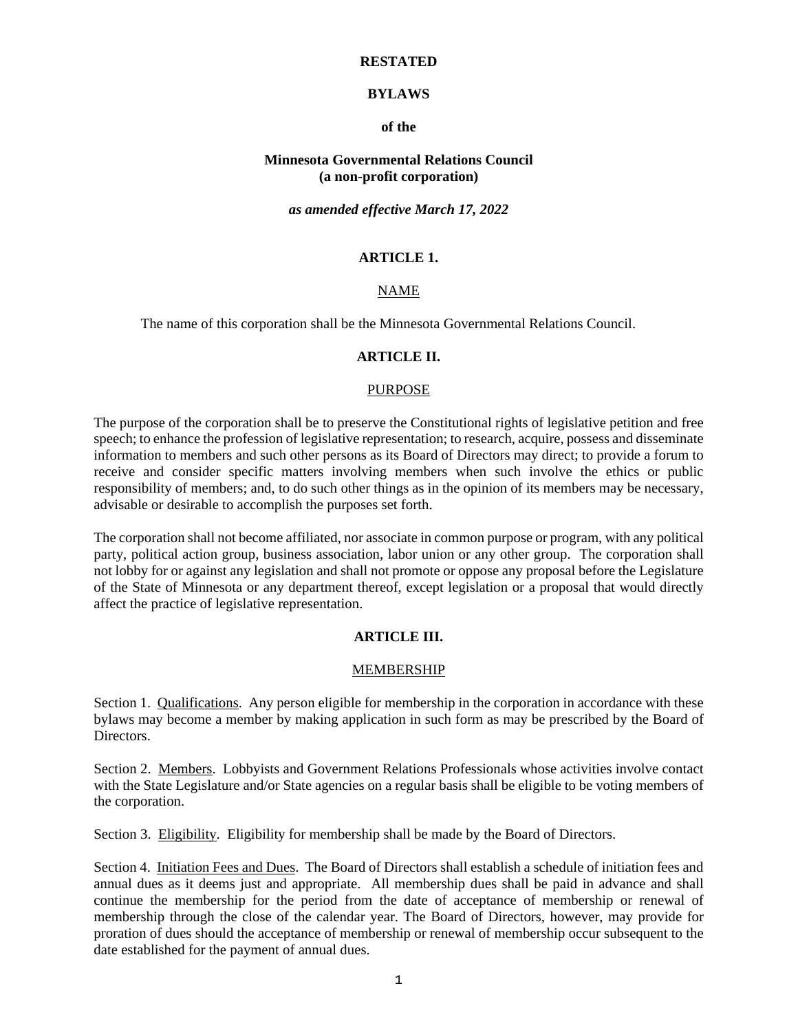#### **RESTATED**

### **BYLAWS**

#### **of the**

#### **Minnesota Governmental Relations Council (a non-profit corporation)**

#### *as amended effective March 17, 2022*

# **ARTICLE 1.**

## NAME

The name of this corporation shall be the Minnesota Governmental Relations Council.

#### **ARTICLE II.**

#### PURPOSE

The purpose of the corporation shall be to preserve the Constitutional rights of legislative petition and free speech; to enhance the profession of legislative representation; to research, acquire, possess and disseminate information to members and such other persons as its Board of Directors may direct; to provide a forum to receive and consider specific matters involving members when such involve the ethics or public responsibility of members; and, to do such other things as in the opinion of its members may be necessary, advisable or desirable to accomplish the purposes set forth.

The corporation shall not become affiliated, nor associate in common purpose or program, with any political party, political action group, business association, labor union or any other group. The corporation shall not lobby for or against any legislation and shall not promote or oppose any proposal before the Legislature of the State of Minnesota or any department thereof, except legislation or a proposal that would directly affect the practice of legislative representation.

### **ARTICLE III.**

### MEMBERSHIP

Section 1. Qualifications. Any person eligible for membership in the corporation in accordance with these bylaws may become a member by making application in such form as may be prescribed by the Board of Directors.

Section 2. Members. Lobbyists and Government Relations Professionals whose activities involve contact with the State Legislature and/or State agencies on a regular basis shall be eligible to be voting members of the corporation.

Section 3. Eligibility. Eligibility for membership shall be made by the Board of Directors.

Section 4. Initiation Fees and Dues. The Board of Directors shall establish a schedule of initiation fees and annual dues as it deems just and appropriate. All membership dues shall be paid in advance and shall continue the membership for the period from the date of acceptance of membership or renewal of membership through the close of the calendar year. The Board of Directors, however, may provide for proration of dues should the acceptance of membership or renewal of membership occur subsequent to the date established for the payment of annual dues.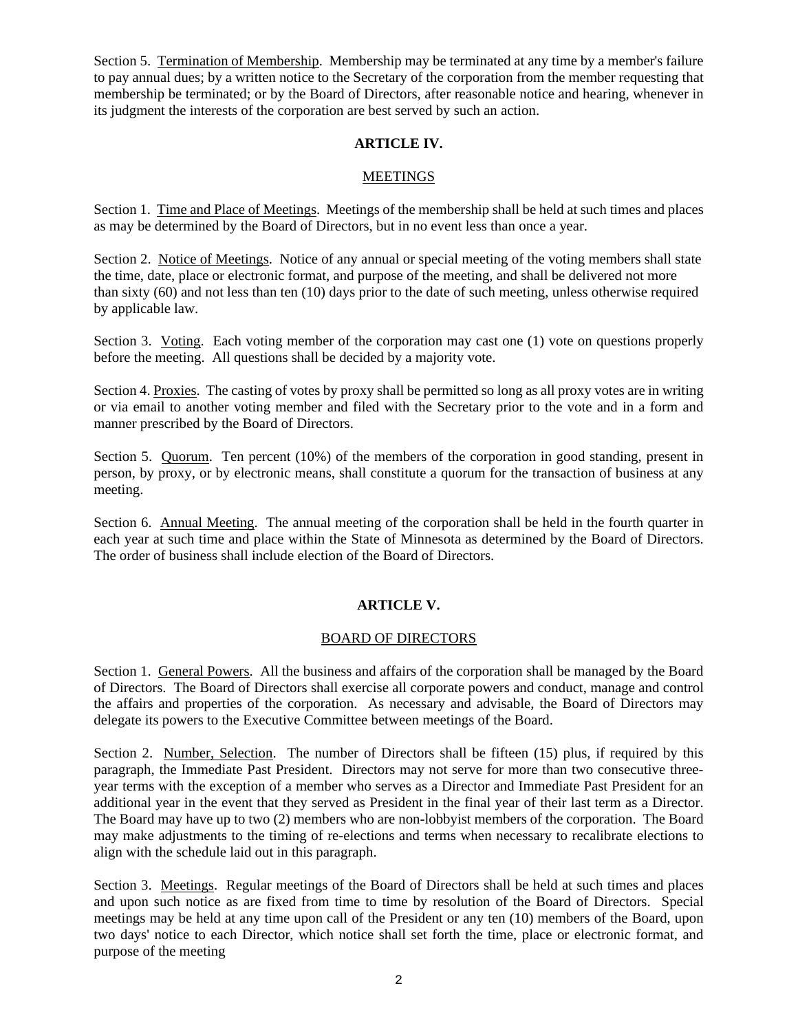Section 5. Termination of Membership. Membership may be terminated at any time by a member's failure to pay annual dues; by a written notice to the Secretary of the corporation from the member requesting that membership be terminated; or by the Board of Directors, after reasonable notice and hearing, whenever in its judgment the interests of the corporation are best served by such an action.

# **ARTICLE IV.**

### MEETINGS

Section 1. Time and Place of Meetings. Meetings of the membership shall be held at such times and places as may be determined by the Board of Directors, but in no event less than once a year.

Section 2. Notice of Meetings. Notice of any annual or special meeting of the voting members shall state the time, date, place or electronic format, and purpose of the meeting, and shall be delivered not more than sixty (60) and not less than ten (10) days prior to the date of such meeting, unless otherwise required by applicable law.

Section 3. Voting. Each voting member of the corporation may cast one (1) vote on questions properly before the meeting. All questions shall be decided by a majority vote.

Section 4. Proxies. The casting of votes by proxy shall be permitted so long as all proxy votes are in writing or via email to another voting member and filed with the Secretary prior to the vote and in a form and manner prescribed by the Board of Directors.

Section 5. Quorum. Ten percent (10%) of the members of the corporation in good standing, present in person, by proxy, or by electronic means, shall constitute a quorum for the transaction of business at any meeting.

Section 6. Annual Meeting. The annual meeting of the corporation shall be held in the fourth quarter in each year at such time and place within the State of Minnesota as determined by the Board of Directors. The order of business shall include election of the Board of Directors.

# **ARTICLE V.**

### BOARD OF DIRECTORS

Section 1. General Powers. All the business and affairs of the corporation shall be managed by the Board of Directors. The Board of Directors shall exercise all corporate powers and conduct, manage and control the affairs and properties of the corporation. As necessary and advisable, the Board of Directors may delegate its powers to the Executive Committee between meetings of the Board.

Section 2. Number, Selection. The number of Directors shall be fifteen (15) plus, if required by this paragraph, the Immediate Past President. Directors may not serve for more than two consecutive threeyear terms with the exception of a member who serves as a Director and Immediate Past President for an additional year in the event that they served as President in the final year of their last term as a Director. The Board may have up to two (2) members who are non-lobbyist members of the corporation. The Board may make adjustments to the timing of re-elections and terms when necessary to recalibrate elections to align with the schedule laid out in this paragraph.

Section 3. Meetings. Regular meetings of the Board of Directors shall be held at such times and places and upon such notice as are fixed from time to time by resolution of the Board of Directors. Special meetings may be held at any time upon call of the President or any ten (10) members of the Board, upon two days' notice to each Director, which notice shall set forth the time, place or electronic format, and purpose of the meeting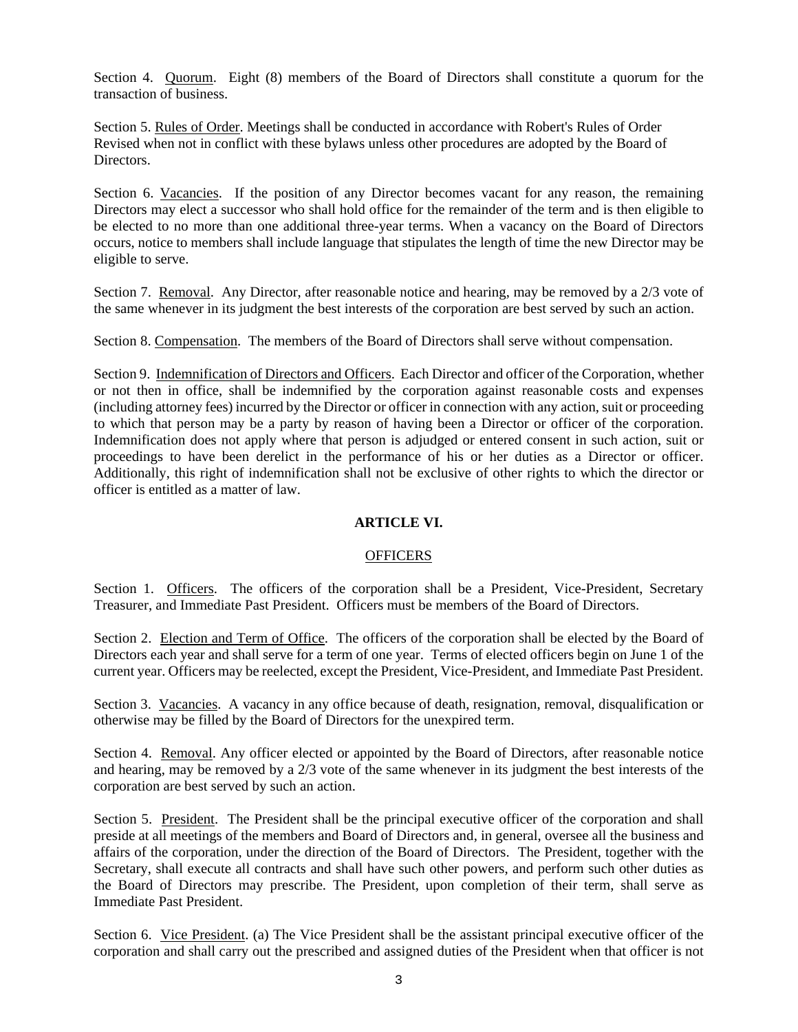Section 4. Quorum. Eight (8) members of the Board of Directors shall constitute a quorum for the transaction of business.

Section 5. Rules of Order. Meetings shall be conducted in accordance with Robert's Rules of Order Revised when not in conflict with these bylaws unless other procedures are adopted by the Board of Directors.

Section 6. Vacancies. If the position of any Director becomes vacant for any reason, the remaining Directors may elect a successor who shall hold office for the remainder of the term and is then eligible to be elected to no more than one additional three-year terms. When a vacancy on the Board of Directors occurs, notice to members shall include language that stipulates the length of time the new Director may be eligible to serve.

Section 7. Removal. Any Director, after reasonable notice and hearing, may be removed by a 2/3 vote of the same whenever in its judgment the best interests of the corporation are best served by such an action.

Section 8. Compensation. The members of the Board of Directors shall serve without compensation.

Section 9. Indemnification of Directors and Officers. Each Director and officer of the Corporation, whether or not then in office, shall be indemnified by the corporation against reasonable costs and expenses (including attorney fees) incurred by the Director or officer in connection with any action, suit or proceeding to which that person may be a party by reason of having been a Director or officer of the corporation. Indemnification does not apply where that person is adjudged or entered consent in such action, suit or proceedings to have been derelict in the performance of his or her duties as a Director or officer. Additionally, this right of indemnification shall not be exclusive of other rights to which the director or officer is entitled as a matter of law.

# **ARTICLE VI.**

# **OFFICERS**

Section 1. Officers. The officers of the corporation shall be a President, Vice-President, Secretary Treasurer, and Immediate Past President. Officers must be members of the Board of Directors.

Section 2. Election and Term of Office. The officers of the corporation shall be elected by the Board of Directors each year and shall serve for a term of one year. Terms of elected officers begin on June 1 of the current year. Officers may be reelected, except the President, Vice-President, and Immediate Past President.

Section 3. Vacancies. A vacancy in any office because of death, resignation, removal, disqualification or otherwise may be filled by the Board of Directors for the unexpired term.

Section 4. Removal. Any officer elected or appointed by the Board of Directors, after reasonable notice and hearing, may be removed by a 2/3 vote of the same whenever in its judgment the best interests of the corporation are best served by such an action.

Section 5. <u>President</u>. The President shall be the principal executive officer of the corporation and shall preside at all meetings of the members and Board of Directors and, in general, oversee all the business and affairs of the corporation, under the direction of the Board of Directors. The President, together with the Secretary, shall execute all contracts and shall have such other powers, and perform such other duties as the Board of Directors may prescribe. The President, upon completion of their term, shall serve as Immediate Past President.

Section 6. Vice President. (a) The Vice President shall be the assistant principal executive officer of the corporation and shall carry out the prescribed and assigned duties of the President when that officer is not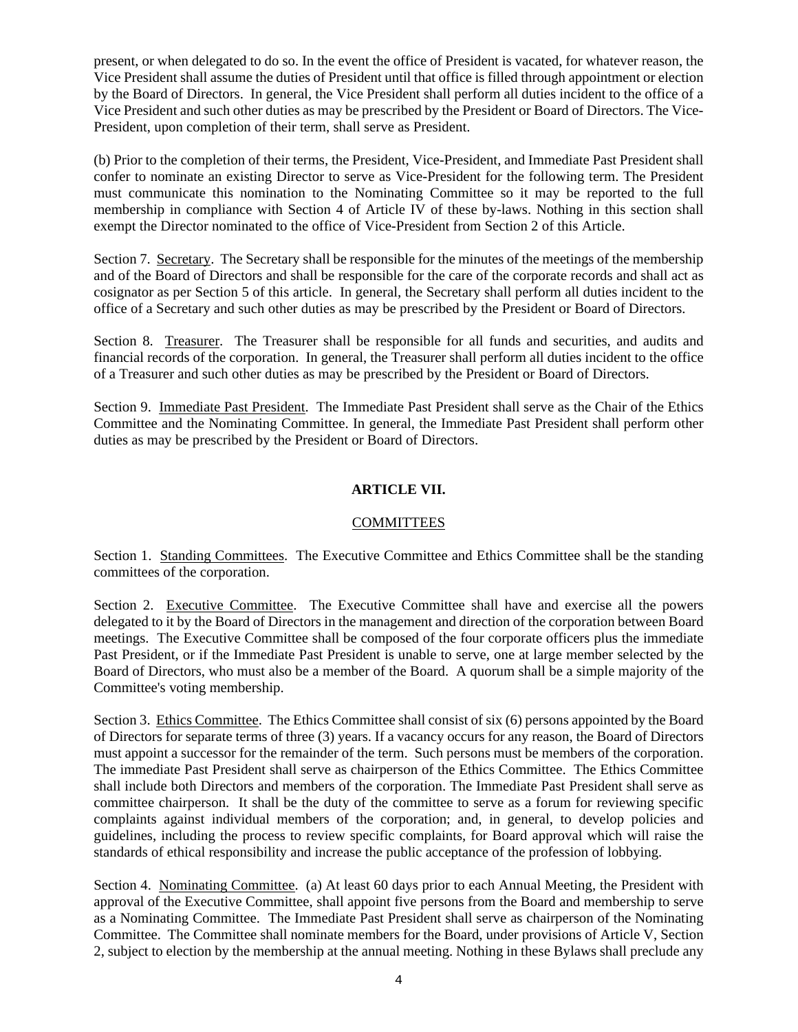present, or when delegated to do so. In the event the office of President is vacated, for whatever reason, the Vice President shall assume the duties of President until that office is filled through appointment or election by the Board of Directors. In general, the Vice President shall perform all duties incident to the office of a Vice President and such other duties as may be prescribed by the President or Board of Directors. The Vice-President, upon completion of their term, shall serve as President.

(b) Prior to the completion of their terms, the President, Vice-President, and Immediate Past President shall confer to nominate an existing Director to serve as Vice-President for the following term. The President must communicate this nomination to the Nominating Committee so it may be reported to the full membership in compliance with Section 4 of Article IV of these by-laws. Nothing in this section shall exempt the Director nominated to the office of Vice-President from Section 2 of this Article.

Section 7. Secretary. The Secretary shall be responsible for the minutes of the meetings of the membership and of the Board of Directors and shall be responsible for the care of the corporate records and shall act as cosignator as per Section 5 of this article. In general, the Secretary shall perform all duties incident to the office of a Secretary and such other duties as may be prescribed by the President or Board of Directors.

Section 8. Treasurer. The Treasurer shall be responsible for all funds and securities, and audits and financial records of the corporation. In general, the Treasurer shall perform all duties incident to the office of a Treasurer and such other duties as may be prescribed by the President or Board of Directors.

Section 9. Immediate Past President. The Immediate Past President shall serve as the Chair of the Ethics Committee and the Nominating Committee. In general, the Immediate Past President shall perform other duties as may be prescribed by the President or Board of Directors.

# **ARTICLE VII.**

### COMMITTEES

Section 1. Standing Committees. The Executive Committee and Ethics Committee shall be the standing committees of the corporation.

Section 2. Executive Committee. The Executive Committee shall have and exercise all the powers delegated to it by the Board of Directors in the management and direction of the corporation between Board meetings. The Executive Committee shall be composed of the four corporate officers plus the immediate Past President, or if the Immediate Past President is unable to serve, one at large member selected by the Board of Directors, who must also be a member of the Board. A quorum shall be a simple majority of the Committee's voting membership.

Section 3. Ethics Committee. The Ethics Committee shall consist of six (6) persons appointed by the Board of Directors for separate terms of three (3) years. If a vacancy occurs for any reason, the Board of Directors must appoint a successor for the remainder of the term. Such persons must be members of the corporation. The immediate Past President shall serve as chairperson of the Ethics Committee. The Ethics Committee shall include both Directors and members of the corporation. The Immediate Past President shall serve as committee chairperson. It shall be the duty of the committee to serve as a forum for reviewing specific complaints against individual members of the corporation; and, in general, to develop policies and guidelines, including the process to review specific complaints, for Board approval which will raise the standards of ethical responsibility and increase the public acceptance of the profession of lobbying.

Section 4. Nominating Committee. (a) At least 60 days prior to each Annual Meeting, the President with approval of the Executive Committee, shall appoint five persons from the Board and membership to serve as a Nominating Committee. The Immediate Past President shall serve as chairperson of the Nominating Committee. The Committee shall nominate members for the Board, under provisions of Article V, Section 2, subject to election by the membership at the annual meeting. Nothing in these Bylaws shall preclude any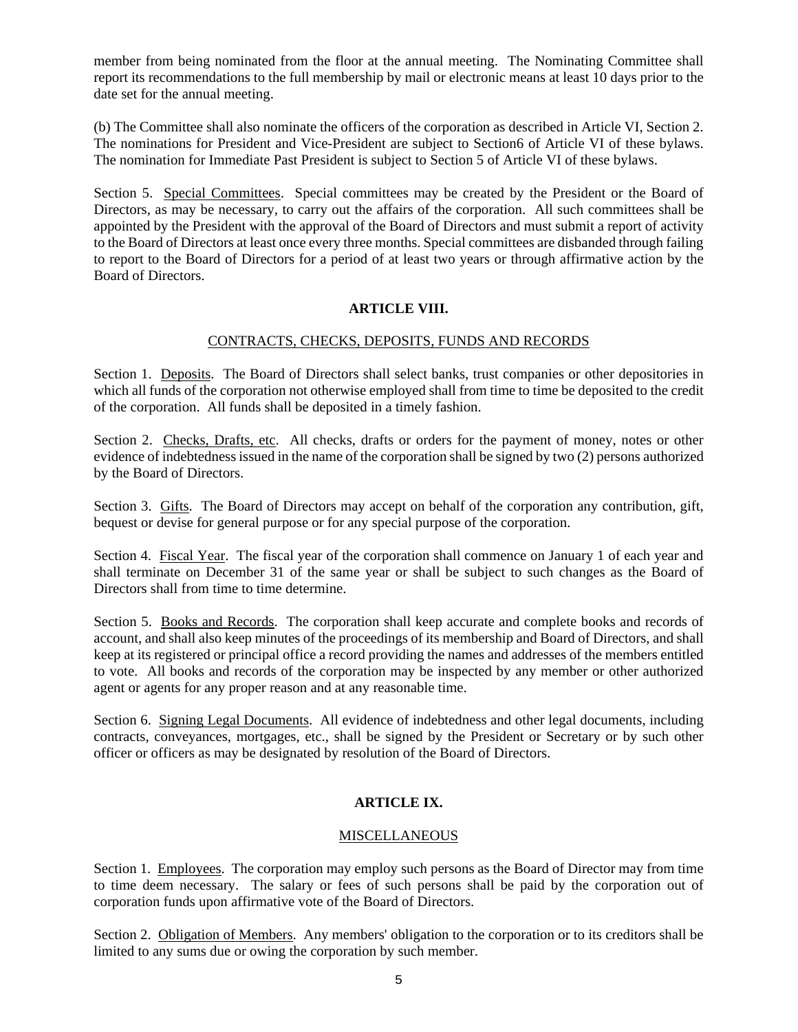member from being nominated from the floor at the annual meeting. The Nominating Committee shall report its recommendations to the full membership by mail or electronic means at least 10 days prior to the date set for the annual meeting.

(b) The Committee shall also nominate the officers of the corporation as described in Article VI, Section 2. The nominations for President and Vice-President are subject to Section6 of Article VI of these bylaws. The nomination for Immediate Past President is subject to Section 5 of Article VI of these bylaws.

Section 5. Special Committees. Special committees may be created by the President or the Board of Directors, as may be necessary, to carry out the affairs of the corporation. All such committees shall be appointed by the President with the approval of the Board of Directors and must submit a report of activity to the Board of Directors at least once every three months. Special committees are disbanded through failing to report to the Board of Directors for a period of at least two years or through affirmative action by the Board of Directors.

## **ARTICLE VIII.**

## CONTRACTS, CHECKS, DEPOSITS, FUNDS AND RECORDS

Section 1. Deposits. The Board of Directors shall select banks, trust companies or other depositories in which all funds of the corporation not otherwise employed shall from time to time be deposited to the credit of the corporation. All funds shall be deposited in a timely fashion.

Section 2. Checks, Drafts, etc. All checks, drafts or orders for the payment of money, notes or other evidence of indebtedness issued in the name of the corporation shall be signed by two (2) persons authorized by the Board of Directors.

Section 3. Gifts. The Board of Directors may accept on behalf of the corporation any contribution, gift, bequest or devise for general purpose or for any special purpose of the corporation.

Section 4. Fiscal Year. The fiscal year of the corporation shall commence on January 1 of each year and shall terminate on December 31 of the same year or shall be subject to such changes as the Board of Directors shall from time to time determine.

Section 5. Books and Records. The corporation shall keep accurate and complete books and records of account, and shall also keep minutes of the proceedings of its membership and Board of Directors, and shall keep at its registered or principal office a record providing the names and addresses of the members entitled to vote. All books and records of the corporation may be inspected by any member or other authorized agent or agents for any proper reason and at any reasonable time.

Section 6. Signing Legal Documents. All evidence of indebtedness and other legal documents, including contracts, conveyances, mortgages, etc., shall be signed by the President or Secretary or by such other officer or officers as may be designated by resolution of the Board of Directors.

# **ARTICLE IX.**

# MISCELLANEOUS

Section 1. Employees. The corporation may employ such persons as the Board of Director may from time to time deem necessary. The salary or fees of such persons shall be paid by the corporation out of corporation funds upon affirmative vote of the Board of Directors.

Section 2. Obligation of Members. Any members' obligation to the corporation or to its creditors shall be limited to any sums due or owing the corporation by such member.